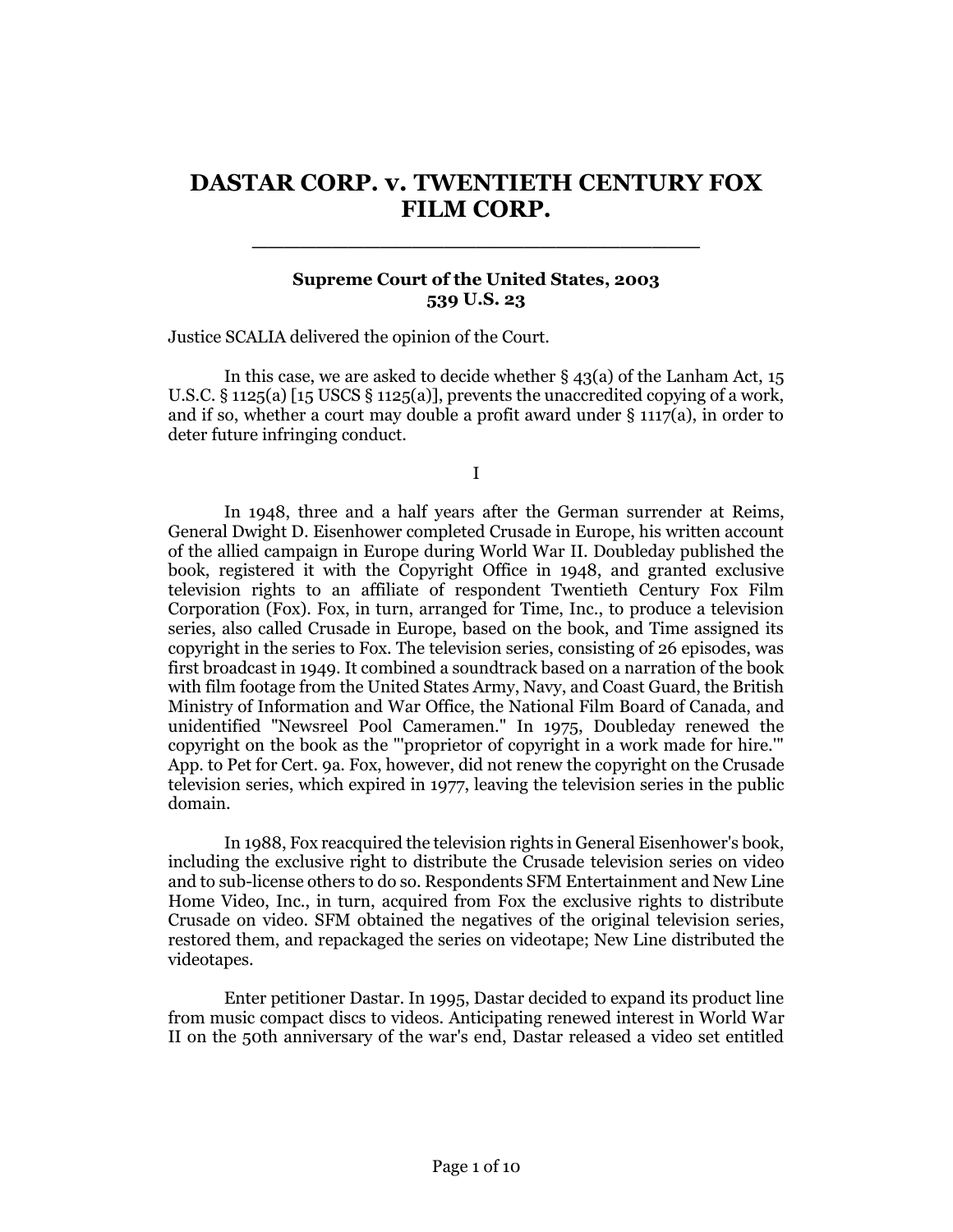## **DASTAR CORP. v. TWENTIETH CENTURY FOX FILM CORP.**

\_\_\_\_\_\_\_\_\_\_\_\_\_\_\_\_\_\_\_\_\_\_\_\_\_\_\_\_

## **Supreme Court of the United States, 2003 539 U.S. 23**

Justice SCALIA delivered the opinion of the Court.

In this case, we are asked to decide whether § 43(a) of the Lanham Act, 15 U.S.C. § 1125(a) [15 USCS § 1125(a)], prevents the unaccredited copying of a work, and if so, whether a court may double a profit award under § 1117(a), in order to deter future infringing conduct.

I

In 1948, three and a half years after the German surrender at Reims, General Dwight D. Eisenhower completed Crusade in Europe, his written account of the allied campaign in Europe during World War II. Doubleday published the book, registered it with the Copyright Office in 1948, and granted exclusive television rights to an affiliate of respondent Twentieth Century Fox Film Corporation (Fox). Fox, in turn, arranged for Time, Inc., to produce a television series, also called Crusade in Europe, based on the book, and Time assigned its copyright in the series to Fox. The television series, consisting of 26 episodes, was first broadcast in 1949. It combined a soundtrack based on a narration of the book with film footage from the United States Army, Navy, and Coast Guard, the British Ministry of Information and War Office, the National Film Board of Canada, and unidentified "Newsreel Pool Cameramen." In 1975, Doubleday renewed the copyright on the book as the "'proprietor of copyright in a work made for hire.'" App. to Pet for Cert. 9a. Fox, however, did not renew the copyright on the Crusade television series, which expired in 1977, leaving the television series in the public domain.

In 1988, Fox reacquired the television rights in General Eisenhower's book, including the exclusive right to distribute the Crusade television series on video and to sub-license others to do so. Respondents SFM Entertainment and New Line Home Video, Inc., in turn, acquired from Fox the exclusive rights to distribute Crusade on video. SFM obtained the negatives of the original television series, restored them, and repackaged the series on videotape; New Line distributed the videotapes.

Enter petitioner Dastar. In 1995, Dastar decided to expand its product line from music compact discs to videos. Anticipating renewed interest in World War II on the 50th anniversary of the war's end, Dastar released a video set entitled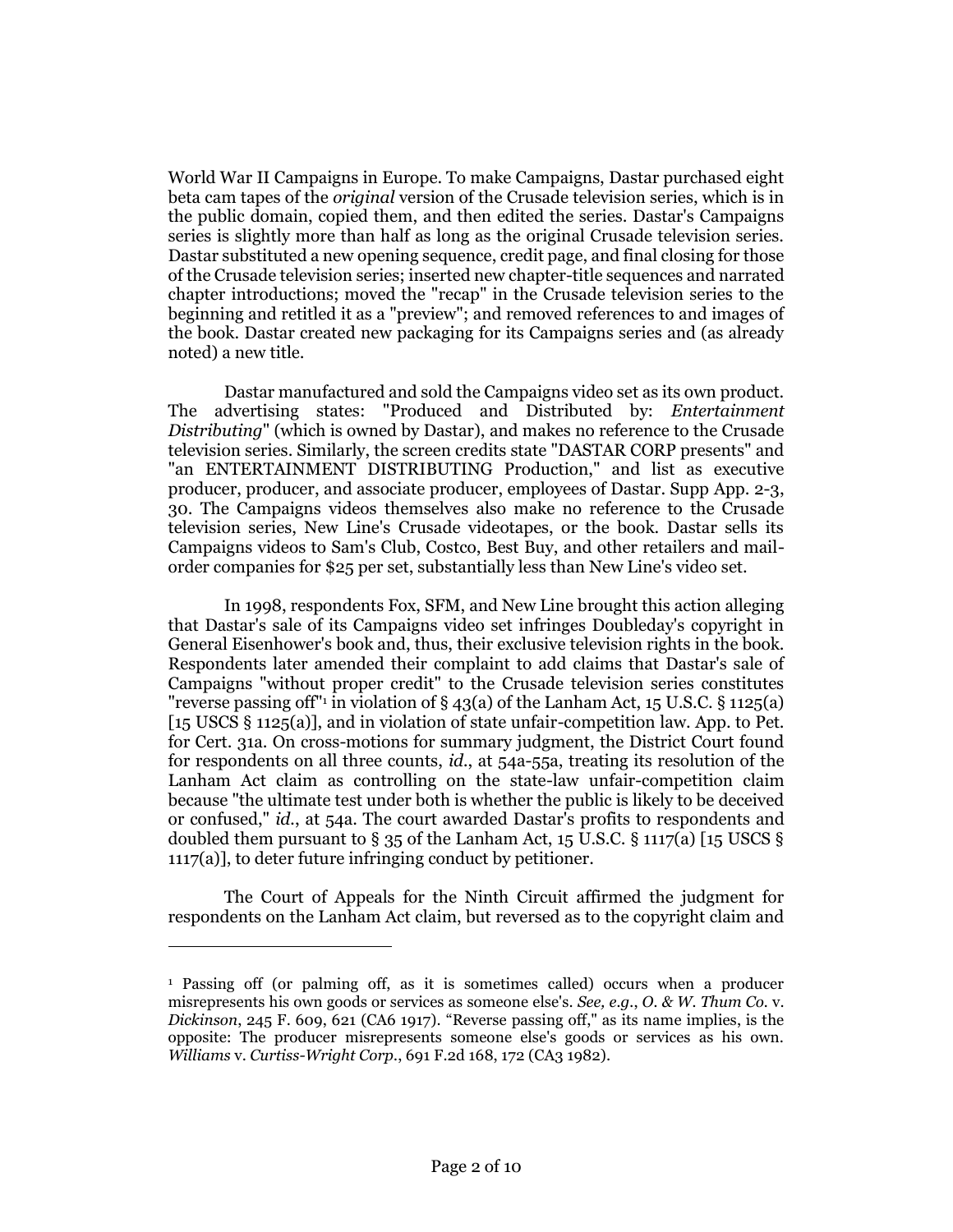World War II Campaigns in Europe. To make Campaigns, Dastar purchased eight beta cam tapes of the *original* version of the Crusade television series, which is in the public domain, copied them, and then edited the series. Dastar's Campaigns series is slightly more than half as long as the original Crusade television series. Dastar substituted a new opening sequence, credit page, and final closing for those of the Crusade television series; inserted new chapter-title sequences and narrated chapter introductions; moved the "recap" in the Crusade television series to the beginning and retitled it as a "preview"; and removed references to and images of the book. Dastar created new packaging for its Campaigns series and (as already noted) a new title.

Dastar manufactured and sold the Campaigns video set as its own product. The advertising states: "Produced and Distributed by: *Entertainment Distributing*" (which is owned by Dastar), and makes no reference to the Crusade television series. Similarly, the screen credits state "DASTAR CORP presents" and "an ENTERTAINMENT DISTRIBUTING Production," and list as executive producer, producer, and associate producer, employees of Dastar. Supp App. 2-3, 30. The Campaigns videos themselves also make no reference to the Crusade television series, New Line's Crusade videotapes, or the book. Dastar sells its Campaigns videos to Sam's Club, Costco, Best Buy, and other retailers and mailorder companies for \$25 per set, substantially less than New Line's video set.

In 1998, respondents Fox, SFM, and New Line brought this action alleging that Dastar's sale of its Campaigns video set infringes Doubleday's copyright in General Eisenhower's book and, thus, their exclusive television rights in the book. Respondents later amended their complaint to add claims that Dastar's sale of Campaigns "without proper credit" to the Crusade television series constitutes "reverse passing of  $f''$  in violation of § 43(a) of the Lanham Act, 15 U.S.C. § 1125(a) [15 USCS § 1125(a)], and in violation of state unfair-competition law. App. to Pet. for Cert. 31a. On cross-motions for summary judgment, the District Court found for respondents on all three counts, *id.*, at 54a-55a, treating its resolution of the Lanham Act claim as controlling on the state-law unfair-competition claim because "the ultimate test under both is whether the public is likely to be deceived or confused," *id.*, at 54a. The court awarded Dastar's profits to respondents and doubled them pursuant to § 35 of the Lanham Act, 15 U.S.C. § 1117(a) [15 USCS § 1117(a)], to deter future infringing conduct by petitioner.

The Court of Appeals for the Ninth Circuit affirmed the judgment for respondents on the Lanham Act claim, but reversed as to the copyright claim and

 $\overline{a}$ 

<sup>1</sup> Passing off (or palming off, as it is sometimes called) occurs when a producer misrepresents his own goods or services as someone else's. *See, e.g.*, *O. & W. Thum Co.* v. *Dickinson*, 245 F. 609, 621 (CA6 1917). "Reverse passing off," as its name implies, is the opposite: The producer misrepresents someone else's goods or services as his own. *Williams* v. *Curtiss-Wright Corp.*, 691 F.2d 168, 172 (CA3 1982).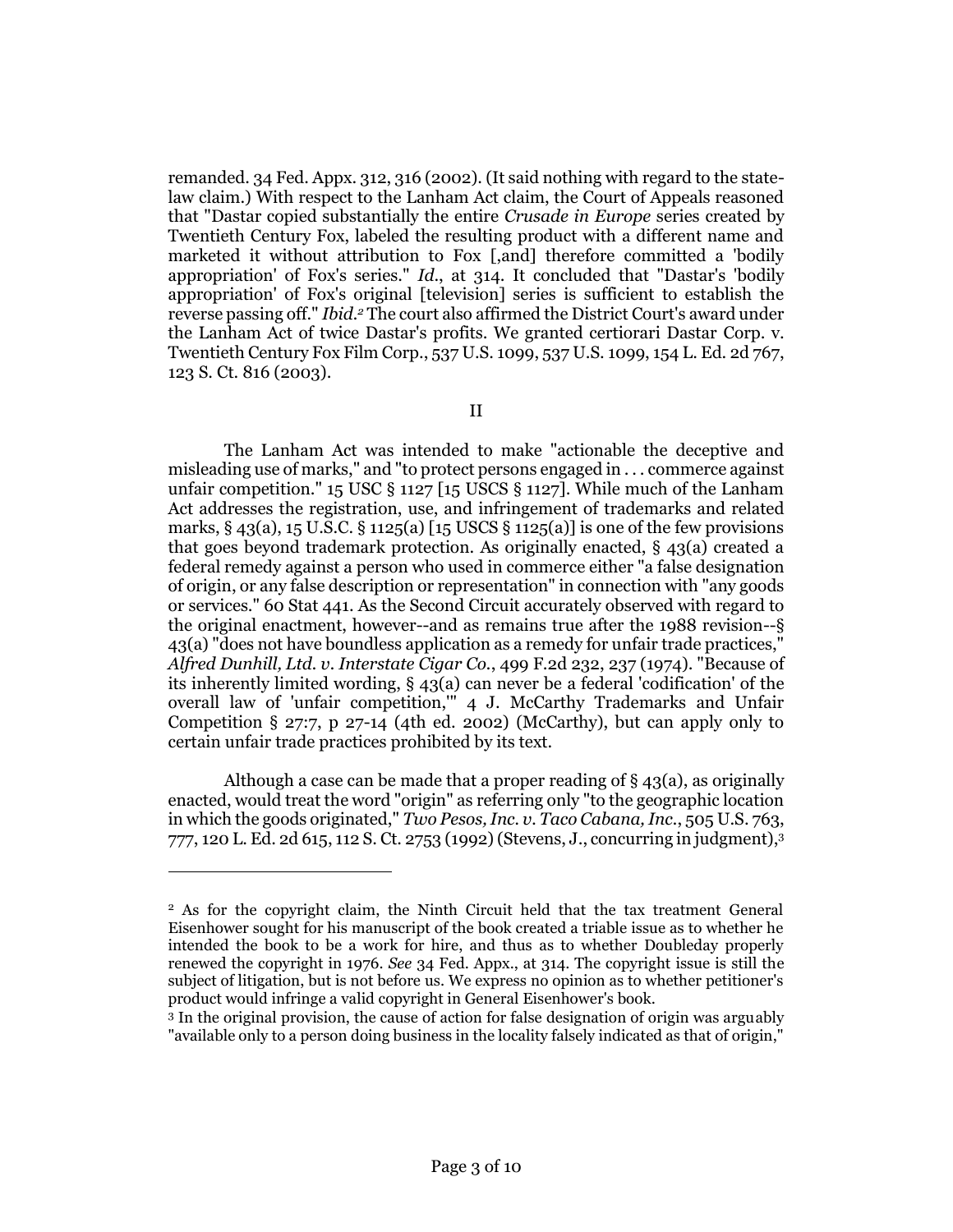remanded. 34 Fed. Appx. 312, 316 (2002). (It said nothing with regard to the statelaw claim.) With respect to the Lanham Act claim, the Court of Appeals reasoned that "Dastar copied substantially the entire *Crusade in Europe* series created by Twentieth Century Fox, labeled the resulting product with a different name and marketed it without attribution to Fox [,and] therefore committed a 'bodily appropriation' of Fox's series." *Id*., at 314. It concluded that "Dastar's 'bodily appropriation' of Fox's original [television] series is sufficient to establish the reverse passing off." *Ibid.<sup>2</sup>* The court also affirmed the District Court's award under the Lanham Act of twice Dastar's profits. We granted certiorari Dastar Corp. v. Twentieth Century Fox Film Corp., 537 U.S. 1099, 537 U.S. 1099, 154 L. Ed. 2d 767, 123 S. Ct. 816 (2003).

The Lanham Act was intended to make "actionable the deceptive and misleading use of marks," and "to protect persons engaged in . . . commerce against unfair competition."  $15 \text{ USC} \text{ } \text{\$ } 1127$  [ $15 \text{ USC} \text{ } \text{\$ } 1127$ ]. While much of the Lanham Act addresses the registration, use, and infringement of trademarks and related marks,  $\S 43(a)$ ,  $15 \text{ U.S.C.} \S 1125(a)$  [15 USCS  $\S 1125(a)$ ] is one of the few provisions that goes beyond trademark protection. As originally enacted, § 43(a) created a federal remedy against a person who used in commerce either "a false designation of origin, or any false description or representation" in connection with "any goods or services." 60 Stat 441. As the Second Circuit accurately observed with regard to the original enactment, however--and as remains true after the 1988 revision--§ 43(a) "does not have boundless application as a remedy for unfair trade practices," *Alfred Dunhill, Ltd. v. Interstate Cigar Co.*, 499 F.2d 232, 237 (1974). "Because of its inherently limited wording, § 43(a) can never be a federal 'codification' of the overall law of 'unfair competition,'" 4 J. McCarthy Trademarks and Unfair Competition § 27:7, p 27-14 (4th ed. 2002) (McCarthy), but can apply only to certain unfair trade practices prohibited by its text.

Although a case can be made that a proper reading of § 43(a), as originally enacted, would treat the word "origin" as referring only "to the geographic location in which the goods originated," *Two Pesos, Inc. v. Taco Cabana, Inc.*, 505 U.S. 763, 777, 120 L. Ed. 2d 615, 112 S. Ct. 2753 (1992) (Stevens, J., concurring in judgment),<sup>3</sup>

 $\overline{a}$ 

<sup>2</sup> As for the copyright claim, the Ninth Circuit held that the tax treatment General Eisenhower sought for his manuscript of the book created a triable issue as to whether he intended the book to be a work for hire, and thus as to whether Doubleday properly renewed the copyright in 1976. *See* 34 Fed. Appx., at 314. The copyright issue is still the subject of litigation, but is not before us. We express no opinion as to whether petitioner's product would infringe a valid copyright in General Eisenhower's book.

<sup>3</sup> In the original provision, the cause of action for false designation of origin was arguably "available only to a person doing business in the locality falsely indicated as that of origin,"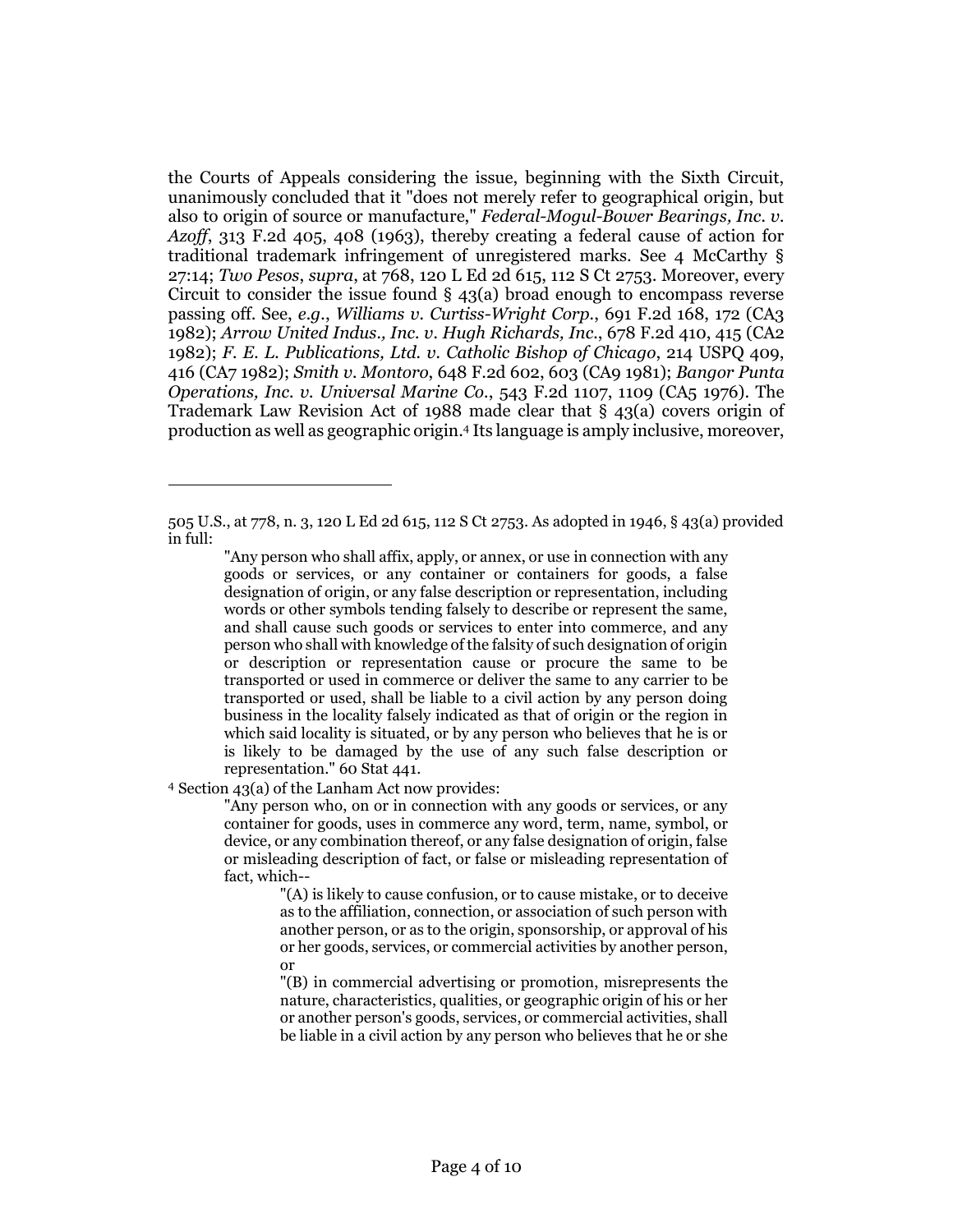the Courts of Appeals considering the issue, beginning with the Sixth Circuit, unanimously concluded that it "does not merely refer to geographical origin, but also to origin of source or manufacture," *Federal-Mogul-Bower Bearings, Inc. v. Azoff*, 313 F.2d 405, 408 (1963), thereby creating a federal cause of action for traditional trademark infringement of unregistered marks. See 4 McCarthy § 27:14; *Two Pesos*, *supra*, at 768, 120 L Ed 2d 615, 112 S Ct 2753. Moreover, every Circuit to consider the issue found  $\S$  43(a) broad enough to encompass reverse passing off. See, *e.g.*, *Williams v. Curtiss-Wright Corp.*, 691 F.2d 168, 172 (CA3 1982); *Arrow United Indus., Inc. v. Hugh Richards, Inc.*, 678 F.2d 410, 415 (CA2 1982); *F. E. L. Publications, Ltd. v. Catholic Bishop of Chicago*, 214 USPQ 409, 416 (CA7 1982); *Smith v. Montoro*, 648 F.2d 602, 603 (CA9 1981); *Bangor Punta Operations, Inc. v. Universal Marine Co.*, 543 F.2d 1107, 1109 (CA5 1976). The Trademark Law Revision Act of 1988 made clear that § 43(a) covers origin of production as well as geographic origin.<sup>4</sup> Its language is amply inclusive, moreover,

<sup>4</sup> Section 43(a) of the Lanham Act now provides:

 $\overline{a}$ 

"Any person who, on or in connection with any goods or services, or any container for goods, uses in commerce any word, term, name, symbol, or device, or any combination thereof, or any false designation of origin, false or misleading description of fact, or false or misleading representation of fact, which--

"(A) is likely to cause confusion, or to cause mistake, or to deceive as to the affiliation, connection, or association of such person with another person, or as to the origin, sponsorship, or approval of his or her goods, services, or commercial activities by another person, or

"(B) in commercial advertising or promotion, misrepresents the nature, characteristics, qualities, or geographic origin of his or her or another person's goods, services, or commercial activities, shall be liable in a civil action by any person who believes that he or she

<sup>505</sup> U.S., at 778, n. 3, 120 L Ed 2d 615, 112 S Ct 2753. As adopted in 1946, § 43(a) provided in full:

<sup>&</sup>quot;Any person who shall affix, apply, or annex, or use in connection with any goods or services, or any container or containers for goods, a false designation of origin, or any false description or representation, including words or other symbols tending falsely to describe or represent the same, and shall cause such goods or services to enter into commerce, and any person who shall with knowledge of the falsity of such designation of origin or description or representation cause or procure the same to be transported or used in commerce or deliver the same to any carrier to be transported or used, shall be liable to a civil action by any person doing business in the locality falsely indicated as that of origin or the region in which said locality is situated, or by any person who believes that he is or is likely to be damaged by the use of any such false description or representation." 60 Stat 441.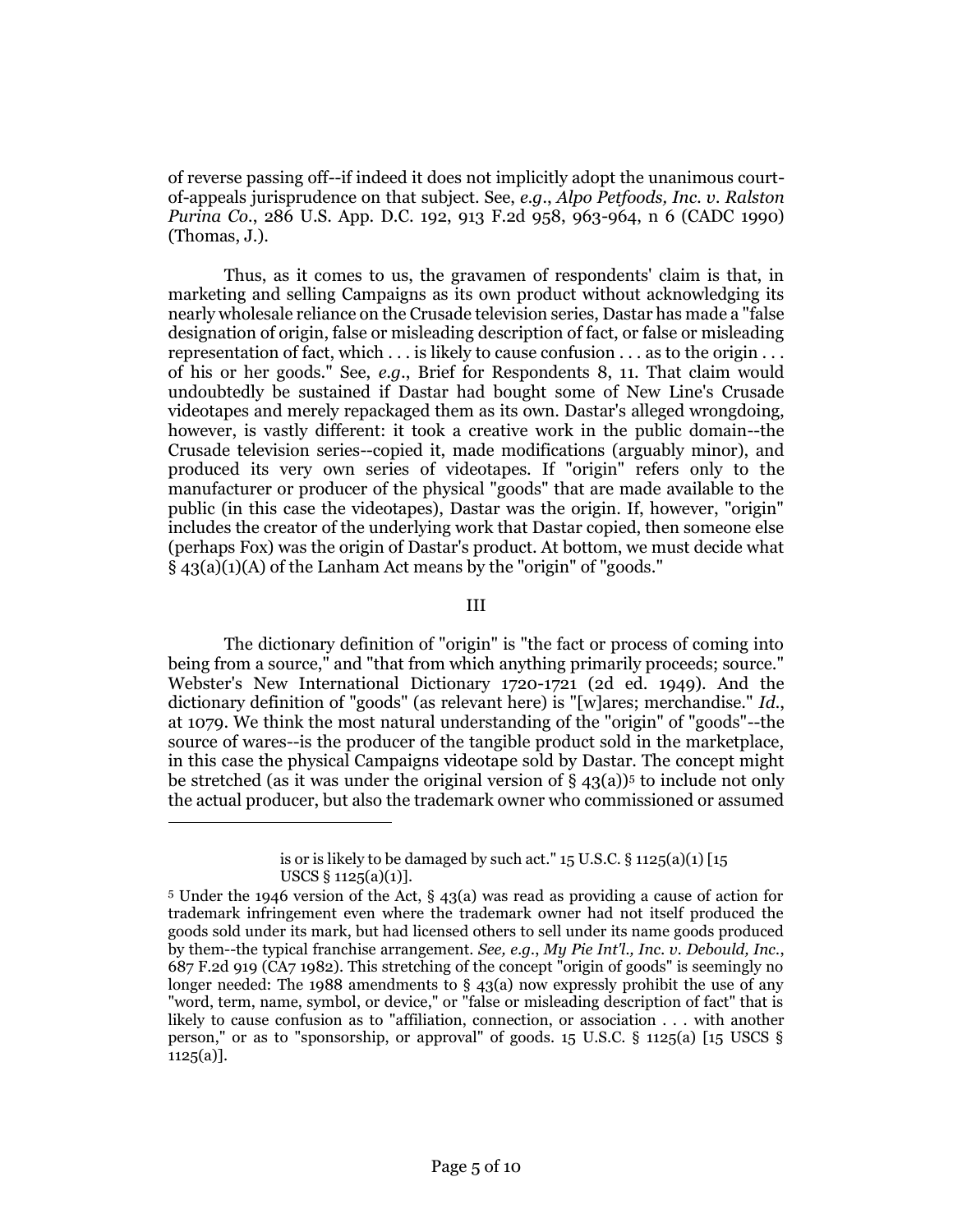of reverse passing off--if indeed it does not implicitly adopt the unanimous courtof-appeals jurisprudence on that subject. See, *e.g.*, *Alpo Petfoods, Inc. v. Ralston Purina Co.*, 286 U.S. App. D.C. 192, 913 F.2d 958, 963-964, n 6 (CADC 1990) (Thomas, J.).

Thus, as it comes to us, the gravamen of respondents' claim is that, in marketing and selling Campaigns as its own product without acknowledging its nearly wholesale reliance on the Crusade television series, Dastar has made a "false designation of origin, false or misleading description of fact, or false or misleading representation of fact, which . . . is likely to cause confusion . . . as to the origin . . . of his or her goods." See, *e.g.*, Brief for Respondents 8, 11. That claim would undoubtedly be sustained if Dastar had bought some of New Line's Crusade videotapes and merely repackaged them as its own. Dastar's alleged wrongdoing, however, is vastly different: it took a creative work in the public domain--the Crusade television series--copied it, made modifications (arguably minor), and produced its very own series of videotapes. If "origin" refers only to the manufacturer or producer of the physical "goods" that are made available to the public (in this case the videotapes), Dastar was the origin. If, however, "origin" includes the creator of the underlying work that Dastar copied, then someone else (perhaps Fox) was the origin of Dastar's product. At bottom, we must decide what § 43(a)(1)(A) of the Lanham Act means by the "origin" of "goods."

## III

The dictionary definition of "origin" is "the fact or process of coming into being from a source," and "that from which anything primarily proceeds; source." Webster's New International Dictionary 1720-1721 (2d ed. 1949). And the dictionary definition of "goods" (as relevant here) is "[w]ares; merchandise." *Id.*, at 1079. We think the most natural understanding of the "origin" of "goods"--the source of wares--is the producer of the tangible product sold in the marketplace, in this case the physical Campaigns videotape sold by Dastar. The concept might be stretched (as it was under the original version of  $\S$  43(a))<sup>5</sup> to include not only the actual producer, but also the trademark owner who commissioned or assumed

 $\overline{a}$ 

is or is likely to be damaged by such act."  $15$  U.S.C. §  $1125(a)(1)$  [ $15$ ] USCS §  $1125(a)(1)$ ].

<sup>5</sup> Under the 1946 version of the Act, § 43(a) was read as providing a cause of action for trademark infringement even where the trademark owner had not itself produced the goods sold under its mark, but had licensed others to sell under its name goods produced by them--the typical franchise arrangement. *See, e.g.*, *My Pie Int'l., Inc. v. Debould, Inc.*, 687 F.2d 919 (CA7 1982). This stretching of the concept "origin of goods" is seemingly no longer needed: The 1988 amendments to  $\S$  43(a) now expressly prohibit the use of any "word, term, name, symbol, or device," or "false or misleading description of fact" that is likely to cause confusion as to "affiliation, connection, or association . . . with another person," or as to "sponsorship, or approval" of goods. 15 U.S.C. § 1125(a) [15 USCS §  $1125(a)$ ].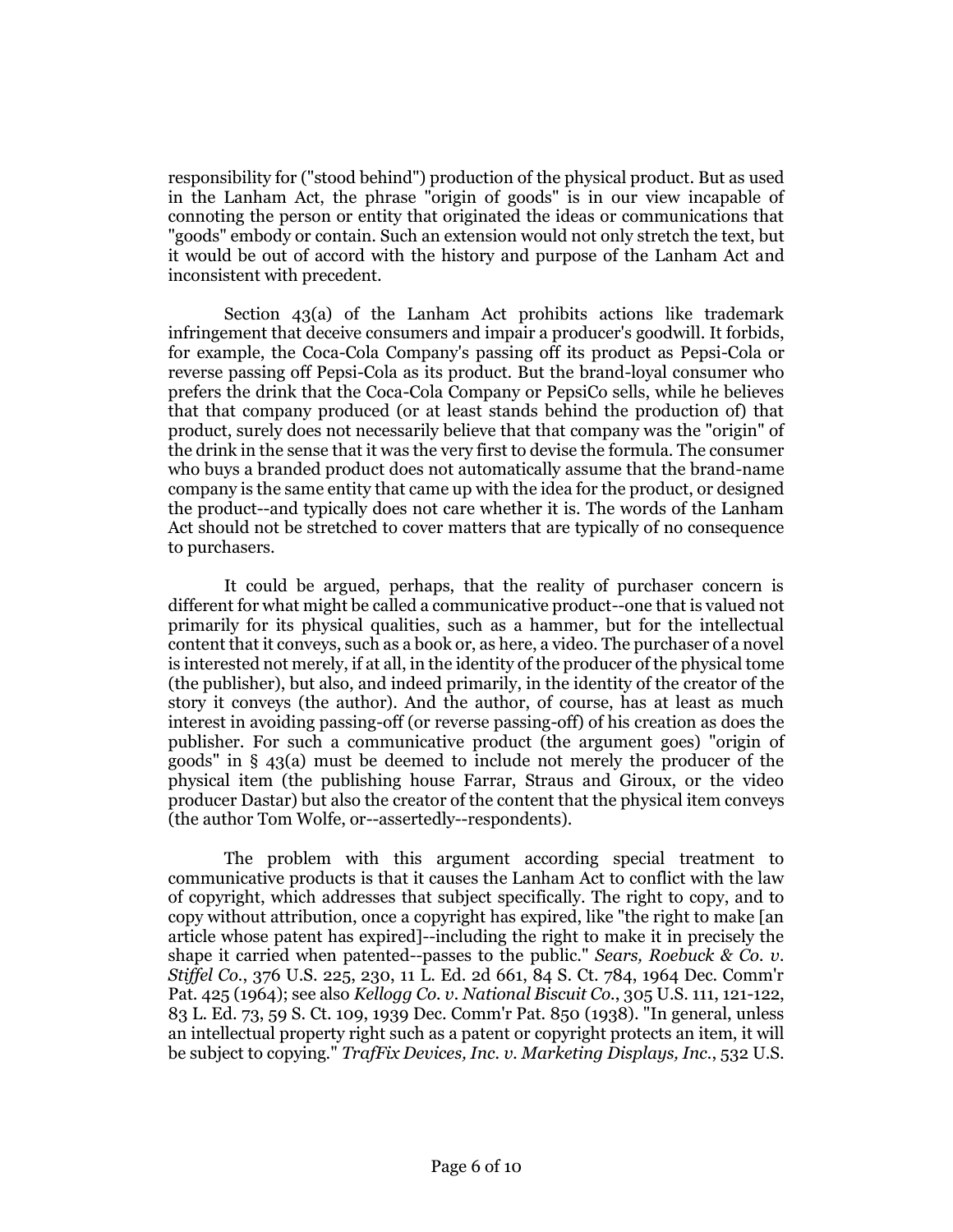responsibility for ("stood behind") production of the physical product. But as used in the Lanham Act, the phrase "origin of goods" is in our view incapable of connoting the person or entity that originated the ideas or communications that "goods" embody or contain. Such an extension would not only stretch the text, but it would be out of accord with the history and purpose of the Lanham Act and inconsistent with precedent.

Section 43(a) of the Lanham Act prohibits actions like trademark infringement that deceive consumers and impair a producer's goodwill. It forbids, for example, the Coca-Cola Company's passing off its product as Pepsi-Cola or reverse passing off Pepsi-Cola as its product. But the brand-loyal consumer who prefers the drink that the Coca-Cola Company or PepsiCo sells, while he believes that that company produced (or at least stands behind the production of) that product, surely does not necessarily believe that that company was the "origin" of the drink in the sense that it was the very first to devise the formula. The consumer who buys a branded product does not automatically assume that the brand-name company is the same entity that came up with the idea for the product, or designed the product--and typically does not care whether it is. The words of the Lanham Act should not be stretched to cover matters that are typically of no consequence to purchasers.

It could be argued, perhaps, that the reality of purchaser concern is different for what might be called a communicative product--one that is valued not primarily for its physical qualities, such as a hammer, but for the intellectual content that it conveys, such as a book or, as here, a video. The purchaser of a novel is interested not merely, if at all, in the identity of the producer of the physical tome (the publisher), but also, and indeed primarily, in the identity of the creator of the story it conveys (the author). And the author, of course, has at least as much interest in avoiding passing-off (or reverse passing-off) of his creation as does the publisher. For such a communicative product (the argument goes) "origin of goods" in § 43(a) must be deemed to include not merely the producer of the physical item (the publishing house Farrar, Straus and Giroux, or the video producer Dastar) but also the creator of the content that the physical item conveys (the author Tom Wolfe, or--assertedly--respondents).

The problem with this argument according special treatment to communicative products is that it causes the Lanham Act to conflict with the law of copyright, which addresses that subject specifically. The right to copy, and to copy without attribution, once a copyright has expired, like "the right to make [an article whose patent has expired]--including the right to make it in precisely the shape it carried when patented--passes to the public." *Sears, Roebuck & Co. v. Stiffel Co.*, 376 U.S. 225, 230, 11 L. Ed. 2d 661, 84 S. Ct. 784, 1964 Dec. Comm'r Pat. 425 (1964); see also *Kellogg Co. v. National Biscuit Co.*, 305 U.S. 111, 121-122, 83 L. Ed. 73, 59 S. Ct. 109, 1939 Dec. Comm'r Pat. 850 (1938). "In general, unless an intellectual property right such as a patent or copyright protects an item, it will be subject to copying." *TrafFix Devices, Inc. v. Marketing Displays, Inc.*, 532 U.S.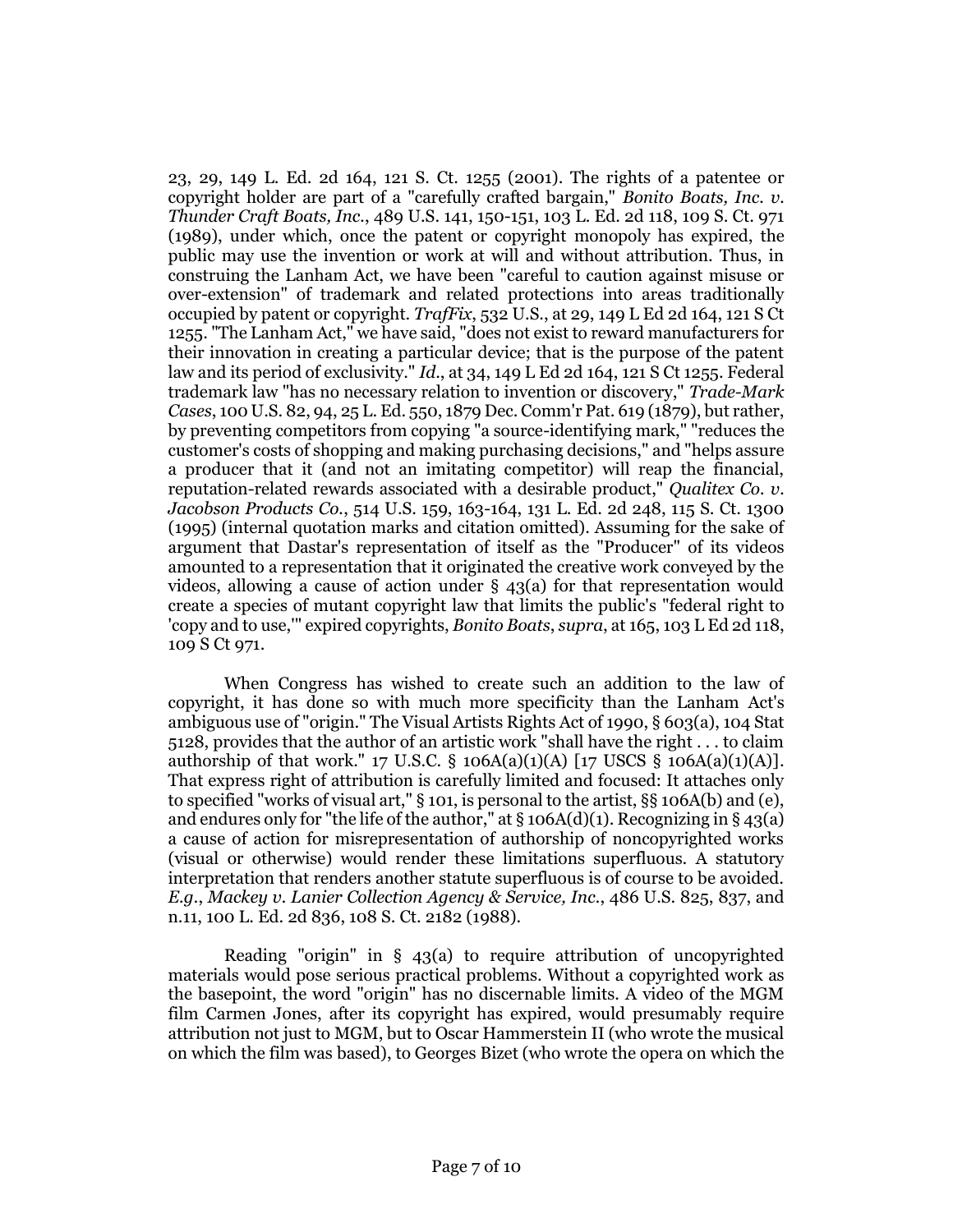23, 29, 149 L. Ed. 2d 164, 121 S. Ct. 1255 (2001). The rights of a patentee or copyright holder are part of a "carefully crafted bargain," *Bonito Boats, Inc. v. Thunder Craft Boats, Inc.*, 489 U.S. 141, 150-151, 103 L. Ed. 2d 118, 109 S. Ct. 971 (1989), under which, once the patent or copyright monopoly has expired, the public may use the invention or work at will and without attribution. Thus, in construing the Lanham Act, we have been "careful to caution against misuse or over-extension" of trademark and related protections into areas traditionally occupied by patent or copyright. *TrafFix*, 532 U.S., at 29, 149 L Ed 2d 164, 121 S Ct 1255. "The Lanham Act," we have said, "does not exist to reward manufacturers for their innovation in creating a particular device; that is the purpose of the patent law and its period of exclusivity." *Id*., at 34, 149 L Ed 2d 164, 121 S Ct 1255. Federal trademark law "has no necessary relation to invention or discovery," *Trade-Mark Cases*, 100 U.S. 82, 94, 25 L. Ed. 550, 1879 Dec. Comm'r Pat. 619 (1879), but rather, by preventing competitors from copying "a source-identifying mark," "reduces the customer's costs of shopping and making purchasing decisions," and "helps assure a producer that it (and not an imitating competitor) will reap the financial, reputation-related rewards associated with a desirable product," *Qualitex Co. v. Jacobson Products Co.*, 514 U.S. 159, 163-164, 131 L. Ed. 2d 248, 115 S. Ct. 1300 (1995) (internal quotation marks and citation omitted). Assuming for the sake of argument that Dastar's representation of itself as the "Producer" of its videos amounted to a representation that it originated the creative work conveyed by the videos, allowing a cause of action under § 43(a) for that representation would create a species of mutant copyright law that limits the public's "federal right to 'copy and to use,'" expired copyrights, *Bonito Boats*, *supra*, at 165, 103 L Ed 2d 118, 109 S Ct 971.

When Congress has wished to create such an addition to the law of copyright, it has done so with much more specificity than the Lanham Act's ambiguous use of "origin." The Visual Artists Rights Act of 1990, § 603(a), 104 Stat 5128, provides that the author of an artistic work "shall have the right . . . to claim authorship of that work." 17 U.S.C. § 106A(a)(1)(A) [17 USCS § 106A(a)(1)(A)]. That express right of attribution is carefully limited and focused: It attaches only to specified "works of visual art," § 101, is personal to the artist, §§ 106A(b) and (e), and endures only for "the life of the author," at  $\S$  106A(d)(1). Recognizing in  $\S$  43(a) a cause of action for misrepresentation of authorship of noncopyrighted works (visual or otherwise) would render these limitations superfluous. A statutory interpretation that renders another statute superfluous is of course to be avoided. *E.g.*, *Mackey v. Lanier Collection Agency & Service, Inc.*, 486 U.S. 825, 837, and n.11, 100 L. Ed. 2d 836, 108 S. Ct. 2182 (1988).

Reading "origin" in § 43(a) to require attribution of uncopyrighted materials would pose serious practical problems. Without a copyrighted work as the basepoint, the word "origin" has no discernable limits. A video of the MGM film Carmen Jones, after its copyright has expired, would presumably require attribution not just to MGM, but to Oscar Hammerstein II (who wrote the musical on which the film was based), to Georges Bizet (who wrote the opera on which the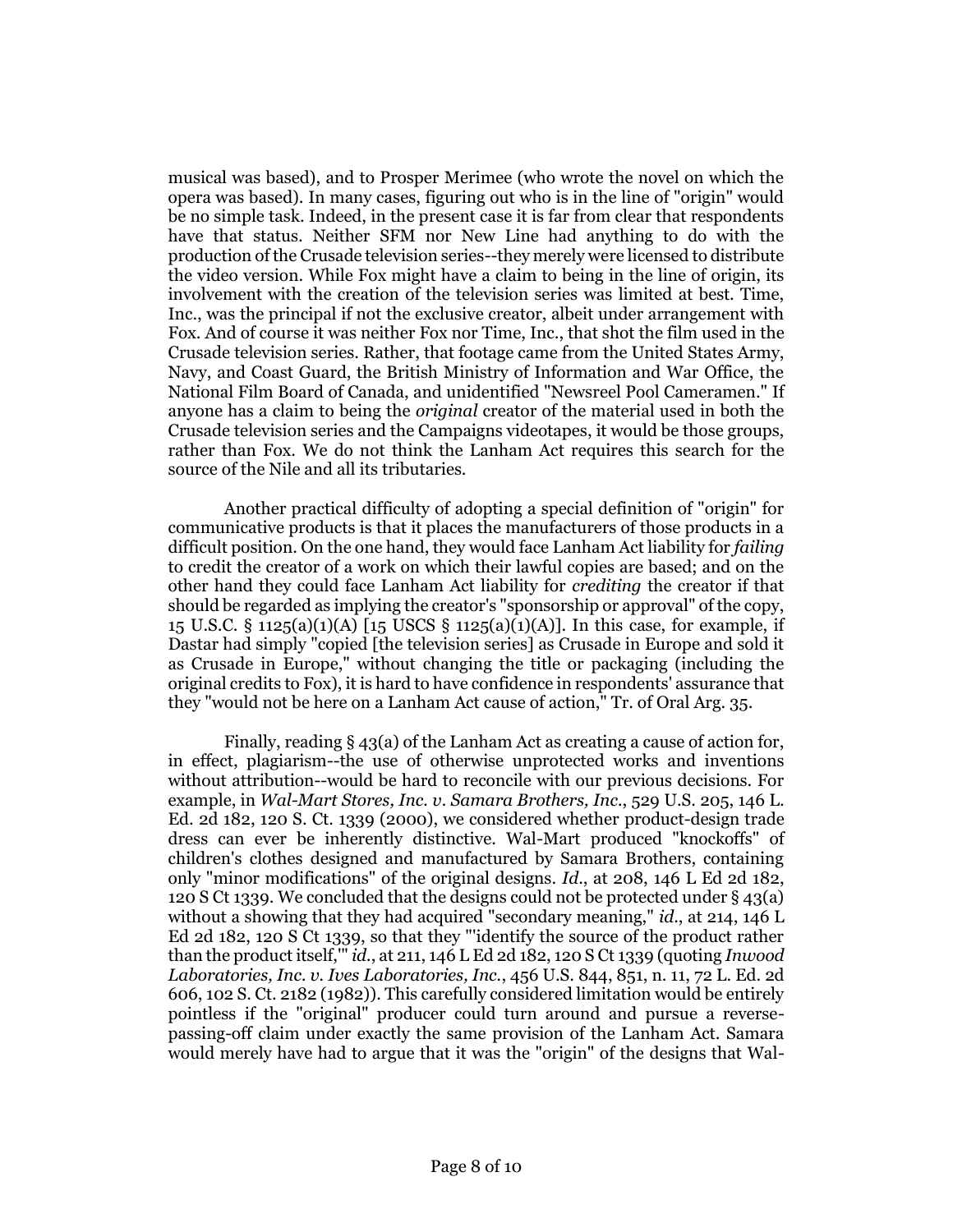musical was based), and to Prosper Merimee (who wrote the novel on which the opera was based). In many cases, figuring out who is in the line of "origin" would be no simple task. Indeed, in the present case it is far from clear that respondents have that status. Neither SFM nor New Line had anything to do with the production of the Crusade television series--they merely were licensed to distribute the video version. While Fox might have a claim to being in the line of origin, its involvement with the creation of the television series was limited at best. Time, Inc., was the principal if not the exclusive creator, albeit under arrangement with Fox. And of course it was neither Fox nor Time, Inc., that shot the film used in the Crusade television series. Rather, that footage came from the United States Army, Navy, and Coast Guard, the British Ministry of Information and War Office, the National Film Board of Canada, and unidentified "Newsreel Pool Cameramen." If anyone has a claim to being the *original* creator of the material used in both the Crusade television series and the Campaigns videotapes, it would be those groups, rather than Fox. We do not think the Lanham Act requires this search for the source of the Nile and all its tributaries.

Another practical difficulty of adopting a special definition of "origin" for communicative products is that it places the manufacturers of those products in a difficult position. On the one hand, they would face Lanham Act liability for *failing* to credit the creator of a work on which their lawful copies are based; and on the other hand they could face Lanham Act liability for *crediting* the creator if that should be regarded as implying the creator's "sponsorship or approval" of the copy, 15 U.S.C. § 1125(a)(1)(A) [15 USCS § 1125(a)(1)(A)]. In this case, for example, if Dastar had simply "copied [the television series] as Crusade in Europe and sold it as Crusade in Europe," without changing the title or packaging (including the original credits to Fox), it is hard to have confidence in respondents' assurance that they "would not be here on a Lanham Act cause of action," Tr. of Oral Arg. 35.

Finally, reading § 43(a) of the Lanham Act as creating a cause of action for, in effect, plagiarism--the use of otherwise unprotected works and inventions without attribution--would be hard to reconcile with our previous decisions. For example, in *Wal-Mart Stores, Inc. v. Samara Brothers, Inc.*, 529 U.S. 205, 146 L. Ed. 2d 182, 120 S. Ct. 1339 (2000), we considered whether product-design trade dress can ever be inherently distinctive. Wal-Mart produced "knockoffs" of children's clothes designed and manufactured by Samara Brothers, containing only "minor modifications" of the original designs. *Id*., at 208, 146 L Ed 2d 182, 120 S Ct 1339. We concluded that the designs could not be protected under § 43(a) without a showing that they had acquired "secondary meaning," *id*., at 214, 146 L Ed 2d 182, 120 S Ct 1339, so that they "'identify the source of the product rather than the product itself,'" *id.*, at 211, 146 L Ed 2d 182, 120 S Ct 1339 (quoting *Inwood Laboratories, Inc. v. Ives Laboratories, Inc.*, 456 U.S. 844, 851, n. 11, 72 L. Ed. 2d 606, 102 S. Ct. 2182 (1982)). This carefully considered limitation would be entirely pointless if the "original" producer could turn around and pursue a reversepassing-off claim under exactly the same provision of the Lanham Act. Samara would merely have had to argue that it was the "origin" of the designs that Wal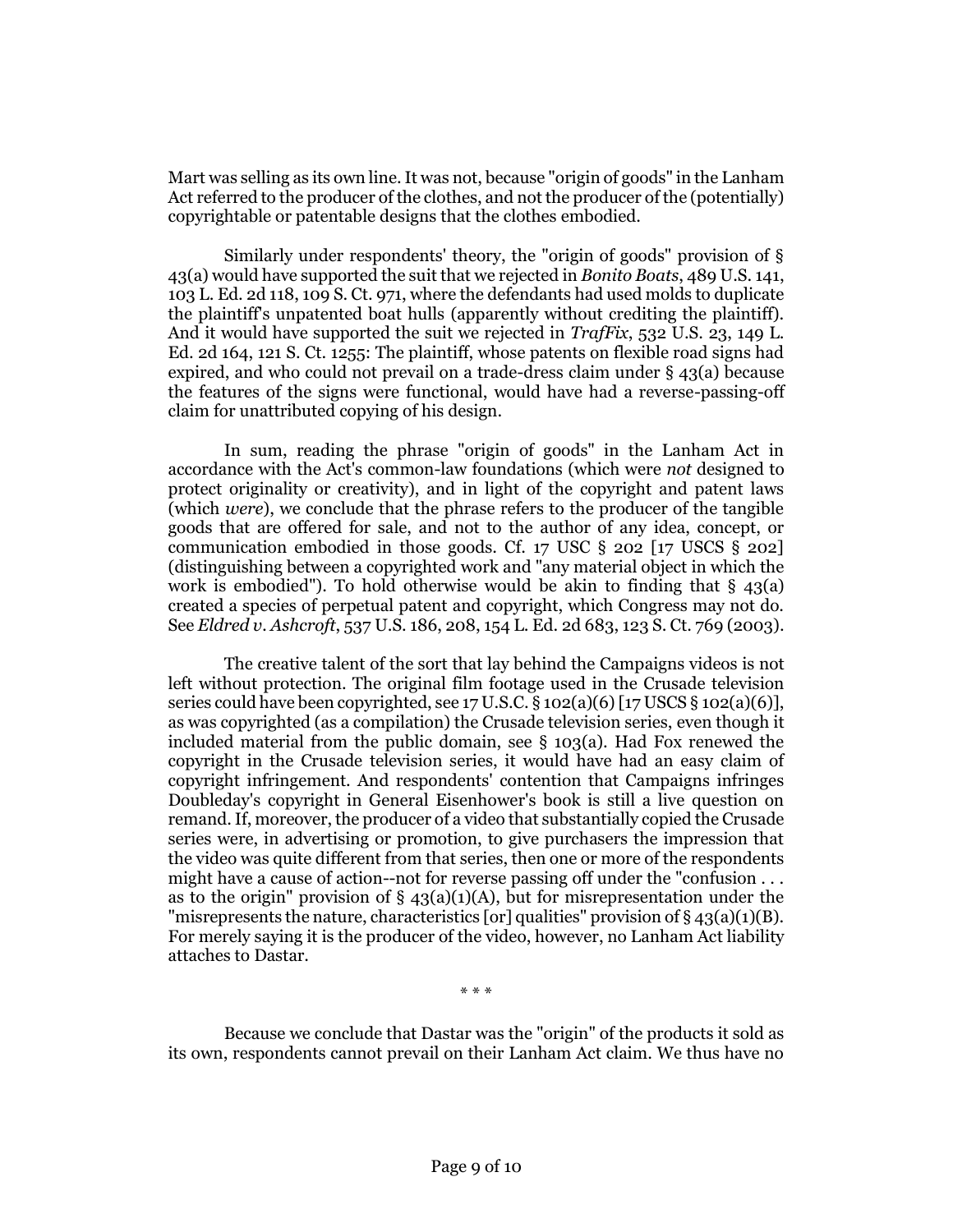Mart was selling as its own line. It was not, because "origin of goods" in the Lanham Act referred to the producer of the clothes, and not the producer of the (potentially) copyrightable or patentable designs that the clothes embodied.

Similarly under respondents' theory, the "origin of goods" provision of § 43(a) would have supported the suit that we rejected in *Bonito Boats*, 489 U.S. 141, 103 L. Ed. 2d 118, 109 S. Ct. 971, where the defendants had used molds to duplicate the plaintiff's unpatented boat hulls (apparently without crediting the plaintiff). And it would have supported the suit we rejected in *TrafFix*, 532 U.S. 23, 149 L. Ed. 2d 164, 121 S. Ct. 1255: The plaintiff, whose patents on flexible road signs had expired, and who could not prevail on a trade-dress claim under § 43(a) because the features of the signs were functional, would have had a reverse-passing-off claim for unattributed copying of his design.

In sum, reading the phrase "origin of goods" in the Lanham Act in accordance with the Act's common-law foundations (which were *not* designed to protect originality or creativity), and in light of the copyright and patent laws (which *were*), we conclude that the phrase refers to the producer of the tangible goods that are offered for sale, and not to the author of any idea, concept, or communication embodied in those goods. Cf. 17 USC § 202 [17 USCS § 202] (distinguishing between a copyrighted work and "any material object in which the work is embodied"). To hold otherwise would be akin to finding that § 43(a) created a species of perpetual patent and copyright, which Congress may not do. See *Eldred v. Ashcroft*, 537 U.S. 186, 208, 154 L. Ed. 2d 683, 123 S. Ct. 769 (2003).

The creative talent of the sort that lay behind the Campaigns videos is not left without protection. The original film footage used in the Crusade television series could have been copyrighted, see 17 U.S.C.  $\S$  102(a)(6) [17 USCS  $\S$  102(a)(6)], as was copyrighted (as a compilation) the Crusade television series, even though it included material from the public domain, see  $\S$  103(a). Had Fox renewed the copyright in the Crusade television series, it would have had an easy claim of copyright infringement. And respondents' contention that Campaigns infringes Doubleday's copyright in General Eisenhower's book is still a live question on remand. If, moreover, the producer of a video that substantially copied the Crusade series were, in advertising or promotion, to give purchasers the impression that the video was quite different from that series, then one or more of the respondents might have a cause of action--not for reverse passing off under the "confusion . . . as to the origin" provision of  $\S$  43(a)(1)(A), but for misrepresentation under the "misrepresents the nature, characteristics [or] qualities" provision of  $\S 43(a)(1)(B)$ . For merely saying it is the producer of the video, however, no Lanham Act liability attaches to Dastar.

\* \* \*

Because we conclude that Dastar was the "origin" of the products it sold as its own, respondents cannot prevail on their Lanham Act claim. We thus have no